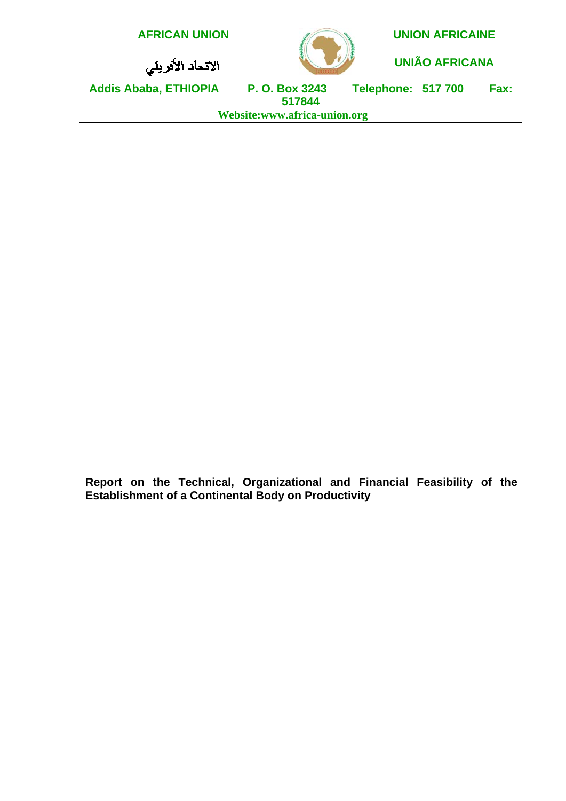| <b>AFRICAN UNION</b>         |                          |                           | <b>UNION AFRICAINE</b> |      |  |
|------------------------------|--------------------------|---------------------------|------------------------|------|--|
| الانحاد الأفريقي             |                          |                           | <b>UNIÃO AFRICANA</b>  |      |  |
| <b>Addis Ababa, ETHIOPIA</b> | P. O. Box 3243<br>517844 | <b>Telephone: 517 700</b> |                        | Fax: |  |
| Website:www.africa-union.org |                          |                           |                        |      |  |
|                              |                          |                           |                        |      |  |

**Report on the Technical, Organizational and Financial Feasibility of the Establishment of a Continental Body on Productivity**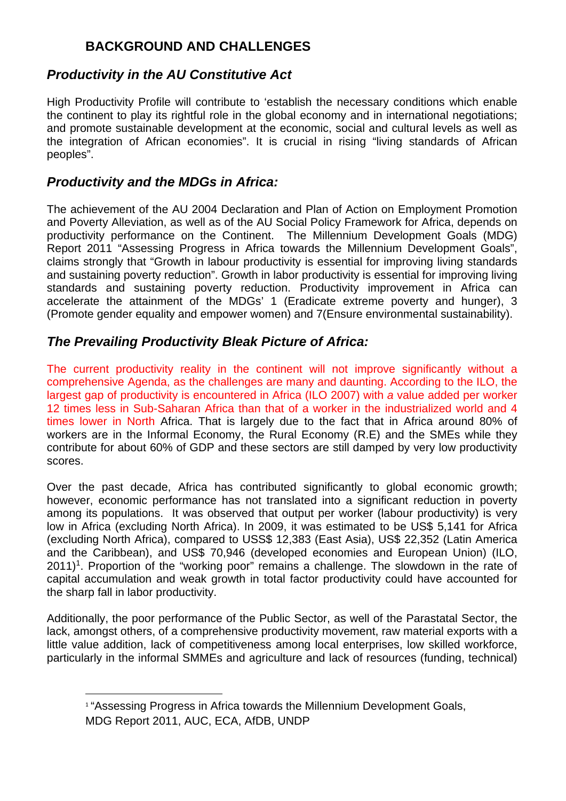# **BACKGROUND AND CHALLENGES**

# *Productivity in the AU Constitutive Act*

High Productivity Profile will contribute to 'establish the necessary conditions which enable the continent to play its rightful role in the global economy and in international negotiations; and promote sustainable development at the economic, social and cultural levels as well as the integration of African economies". It is crucial in rising "living standards of African peoples".

# *Productivity and the MDGs in Africa:*

 $\overline{a}$ 

The achievement of the AU 2004 Declaration and Plan of Action on Employment Promotion and Poverty Alleviation, as well as of the AU Social Policy Framework for Africa, depends on productivity performance on the Continent. The Millennium Development Goals (MDG) Report 2011 "Assessing Progress in Africa towards the Millennium Development Goals", claims strongly that "Growth in labour productivity is essential for improving living standards and sustaining poverty reduction". Growth in labor productivity is essential for improving living standards and sustaining poverty reduction. Productivity improvement in Africa can accelerate the attainment of the MDGs' 1 (Eradicate extreme poverty and hunger), 3 (Promote gender equality and empower women) and 7(Ensure environmental sustainability).

# *The Prevailing Productivity Bleak Picture of Africa:*

The current productivity reality in the continent will not improve significantly without a comprehensive Agenda, as the challenges are many and daunting. According to the ILO, the largest gap of productivity is encountered in Africa (ILO 2007) with *a* value added per worker 12 times less in Sub-Saharan Africa than that of a worker in the industrialized world and 4 times lower in North Africa. That is largely due to the fact that in Africa around 80% of workers are in the Informal Economy, the Rural Economy (R.E) and the SMEs while they contribute for about 60% of GDP and these sectors are still damped by very low productivity scores.

Over the past decade, Africa has contributed significantly to global economic growth; however, economic performance has not translated into a significant reduction in poverty among its populations. It was observed that output per worker (labour productivity) is very low in Africa (excluding North Africa). In 2009, it was estimated to be US\$ 5,141 for Africa (excluding North Africa), compared to USS\$ 12,383 (East Asia), US\$ 22,352 (Latin America and the Caribbean), and US\$ 70,946 (developed economies and European Union) (ILO,  $2011$ <sup>1</sup>. Proportion of the "working poor" remains a challenge. The slowdown in the rate of capital accumulation and weak growth in total factor productivity could have accounted for the sharp fall in labor productivity.

Additionally, the poor performance of the Public Sector, as well of the Parastatal Sector, the lack, amongst others, of a comprehensive productivity movement, raw material exports with a little value addition, lack of competitiveness among local enterprises, low skilled workforce, particularly in the informal SMMEs and agriculture and lack of resources (funding, technical)

<sup>&</sup>lt;sup>1</sup> "Assessing Progress in Africa towards the Millennium Development Goals, MDG Report 2011, AUC, ECA, AfDB, UNDP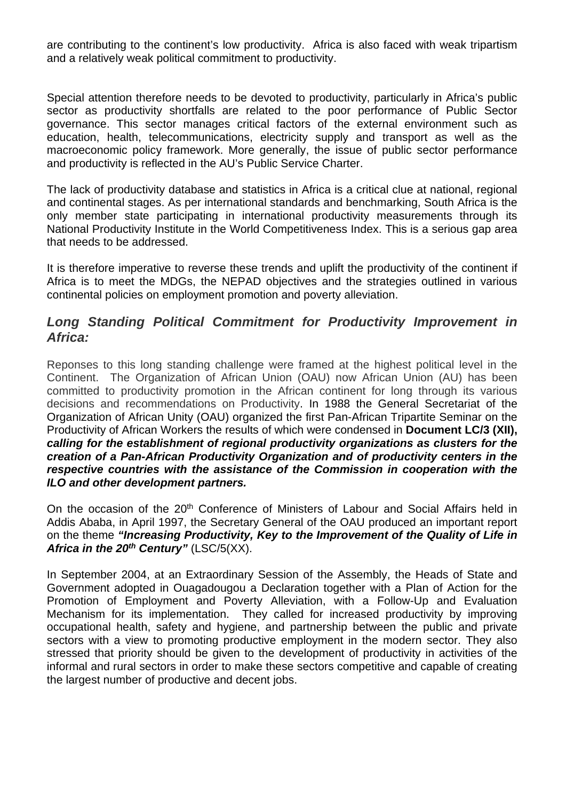are contributing to the continent's low productivity. Africa is also faced with weak tripartism and a relatively weak political commitment to productivity.

Special attention therefore needs to be devoted to productivity, particularly in Africa's public sector as productivity shortfalls are related to the poor performance of Public Sector governance. This sector manages critical factors of the external environment such as education, health, telecommunications, electricity supply and transport as well as the macroeconomic policy framework. More generally, the issue of public sector performance and productivity is reflected in the AU's Public Service Charter.

The lack of productivity database and statistics in Africa is a critical clue at national, regional and continental stages. As per international standards and benchmarking, South Africa is the only member state participating in international productivity measurements through its National Productivity Institute in the World Competitiveness Index. This is a serious gap area that needs to be addressed.

It is therefore imperative to reverse these trends and uplift the productivity of the continent if Africa is to meet the MDGs, the NEPAD objectives and the strategies outlined in various continental policies on employment promotion and poverty alleviation.

### *Long Standing Political Commitment for Productivity Improvement in Africa:*

Reponses to this long standing challenge were framed at the highest political level in the Continent. The Organization of African Union (OAU) now African Union (AU) has been committed to productivity promotion in the African continent for long through its various decisions and recommendations on Productivity. In 1988 the General Secretariat of the Organization of African Unity (OAU) organized the first Pan-African Tripartite Seminar on the Productivity of African Workers the results of which were condensed in **Document LC/3 (XII),** *calling for the establishment of regional productivity organizations as clusters for the creation of a Pan-African Productivity Organization and of productivity centers in the respective countries with the assistance of the Commission in cooperation with the ILO and other development partners.* 

On the occasion of the 20<sup>th</sup> Conference of Ministers of Labour and Social Affairs held in Addis Ababa, in April 1997, the Secretary General of the OAU produced an important report on the theme *"Increasing Productivity, Key to the Improvement of the Quality of Life in Africa in the 20th Century"* (LSC/5(XX).

In September 2004, at an Extraordinary Session of the Assembly, the Heads of State and Government adopted in Ouagadougou a Declaration together with a Plan of Action for the Promotion of Employment and Poverty Alleviation, with a Follow-Up and Evaluation Mechanism for its implementation. They called for increased productivity by improving occupational health, safety and hygiene, and partnership between the public and private sectors with a view to promoting productive employment in the modern sector. They also stressed that priority should be given to the development of productivity in activities of the informal and rural sectors in order to make these sectors competitive and capable of creating the largest number of productive and decent jobs.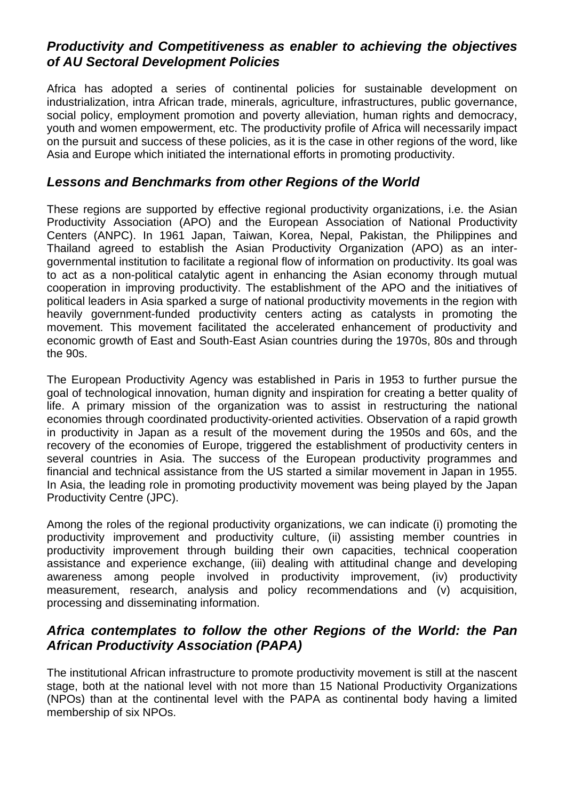# *Productivity and Competitiveness as enabler to achieving the objectives of AU Sectoral Development Policies*

Africa has adopted a series of continental policies for sustainable development on industrialization, intra African trade, minerals, agriculture, infrastructures, public governance, social policy, employment promotion and poverty alleviation, human rights and democracy, youth and women empowerment, etc. The productivity profile of Africa will necessarily impact on the pursuit and success of these policies, as it is the case in other regions of the word, like Asia and Europe which initiated the international efforts in promoting productivity.

### *Lessons and Benchmarks from other Regions of the World*

These regions are supported by effective regional productivity organizations, i.e. the Asian Productivity Association (APO) and the European Association of National Productivity Centers (ANPC). In 1961 Japan, Taiwan, Korea, Nepal, Pakistan, the Philippines and Thailand agreed to establish the Asian Productivity Organization (APO) as an intergovernmental institution to facilitate a regional flow of information on productivity. Its goal was to act as a non-political catalytic agent in enhancing the Asian economy through mutual cooperation in improving productivity. The establishment of the APO and the initiatives of political leaders in Asia sparked a surge of national productivity movements in the region with heavily government-funded productivity centers acting as catalysts in promoting the movement. This movement facilitated the accelerated enhancement of productivity and economic growth of East and South-East Asian countries during the 1970s, 80s and through the 90s.

The European Productivity Agency was established in Paris in 1953 to further pursue the goal of technological innovation, human dignity and inspiration for creating a better quality of life. A primary mission of the organization was to assist in restructuring the national economies through coordinated productivity-oriented activities. Observation of a rapid growth in productivity in Japan as a result of the movement during the 1950s and 60s, and the recovery of the economies of Europe, triggered the establishment of productivity centers in several countries in Asia. The success of the European productivity programmes and financial and technical assistance from the US started a similar movement in Japan in 1955. In Asia, the leading role in promoting productivity movement was being played by the Japan Productivity Centre (JPC).

Among the roles of the regional productivity organizations, we can indicate (i) promoting the productivity improvement and productivity culture, (ii) assisting member countries in productivity improvement through building their own capacities, technical cooperation assistance and experience exchange, (iii) dealing with attitudinal change and developing awareness among people involved in productivity improvement, (iv) productivity measurement, research, analysis and policy recommendations and (v) acquisition, processing and disseminating information.

# *Africa contemplates to follow the other Regions of the World: the Pan African Productivity Association (PAPA)*

The institutional African infrastructure to promote productivity movement is still at the nascent stage, both at the national level with not more than 15 National Productivity Organizations (NPOs) than at the continental level with the PAPA as continental body having a limited membership of six NPOs.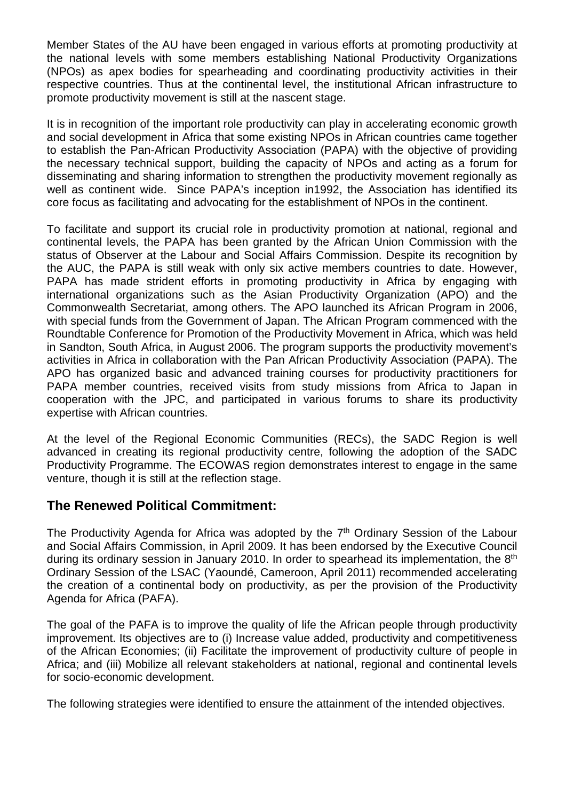Member States of the AU have been engaged in various efforts at promoting productivity at the national levels with some members establishing National Productivity Organizations (NPOs) as apex bodies for spearheading and coordinating productivity activities in their respective countries. Thus at the continental level, the institutional African infrastructure to promote productivity movement is still at the nascent stage.

It is in recognition of the important role productivity can play in accelerating economic growth and social development in Africa that some existing NPOs in African countries came together to establish the Pan-African Productivity Association (PAPA) with the objective of providing the necessary technical support, building the capacity of NPOs and acting as a forum for disseminating and sharing information to strengthen the productivity movement regionally as well as continent wide. Since PAPA's inception in1992, the Association has identified its core focus as facilitating and advocating for the establishment of NPOs in the continent.

To facilitate and support its crucial role in productivity promotion at national, regional and continental levels, the PAPA has been granted by the African Union Commission with the status of Observer at the Labour and Social Affairs Commission. Despite its recognition by the AUC, the PAPA is still weak with only six active members countries to date. However, PAPA has made strident efforts in promoting productivity in Africa by engaging with international organizations such as the Asian Productivity Organization (APO) and the Commonwealth Secretariat, among others. The APO launched its African Program in 2006, with special funds from the Government of Japan. The African Program commenced with the Roundtable Conference for Promotion of the Productivity Movement in Africa, which was held in Sandton, South Africa, in August 2006. The program supports the productivity movement's activities in Africa in collaboration with the Pan African Productivity Association (PAPA). The APO has organized basic and advanced training courses for productivity practitioners for PAPA member countries, received visits from study missions from Africa to Japan in cooperation with the JPC, and participated in various forums to share its productivity expertise with African countries.

At the level of the Regional Economic Communities (RECs), the SADC Region is well advanced in creating its regional productivity centre, following the adoption of the SADC Productivity Programme. The ECOWAS region demonstrates interest to engage in the same venture, though it is still at the reflection stage.

## **The Renewed Political Commitment:**

The Productivity Agenda for Africa was adopted by the  $7<sup>th</sup>$  Ordinary Session of the Labour and Social Affairs Commission, in April 2009. It has been endorsed by the Executive Council during its ordinary session in January 2010. In order to spearhead its implementation, the 8<sup>th</sup> Ordinary Session of the LSAC (Yaoundé, Cameroon, April 2011) recommended accelerating the creation of a continental body on productivity, as per the provision of the Productivity Agenda for Africa (PAFA).

The goal of the PAFA is to improve the quality of life the African people through productivity improvement. Its objectives are to (i) Increase value added, productivity and competitiveness of the African Economies; (ii) Facilitate the improvement of productivity culture of people in Africa; and (iii) Mobilize all relevant stakeholders at national, regional and continental levels for socio-economic development.

The following strategies were identified to ensure the attainment of the intended objectives.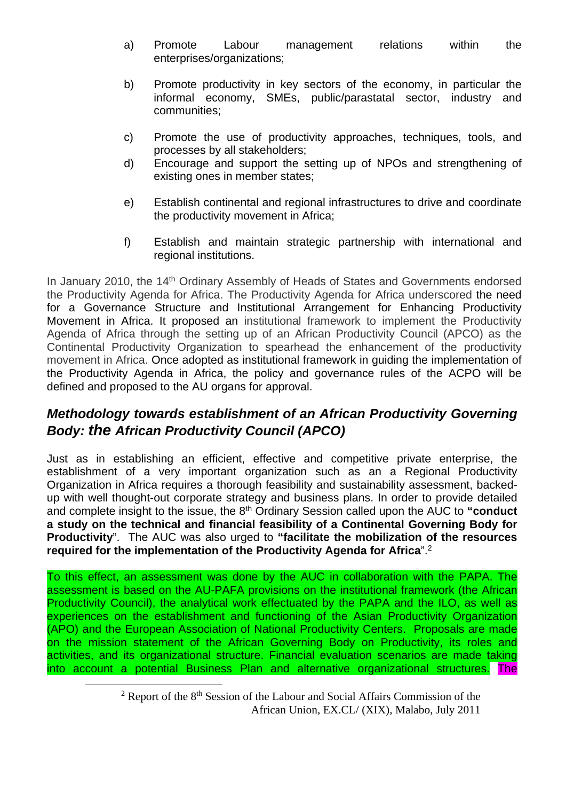- a) Promote Labour management relations within the enterprises/organizations;
- b) Promote productivity in key sectors of the economy, in particular the informal economy, SMEs, public/parastatal sector, industry and communities;
- c) Promote the use of productivity approaches, techniques, tools, and processes by all stakeholders;
- d) Encourage and support the setting up of NPOs and strengthening of existing ones in member states;
- e) Establish continental and regional infrastructures to drive and coordinate the productivity movement in Africa;
- f) Establish and maintain strategic partnership with international and regional institutions.

In January 2010, the 14<sup>th</sup> Ordinary Assembly of Heads of States and Governments endorsed the Productivity Agenda for Africa. The Productivity Agenda for Africa underscored the need for a Governance Structure and Institutional Arrangement for Enhancing Productivity Movement in Africa. It proposed an institutional framework to implement the Productivity Agenda of Africa through the setting up of an African Productivity Council (APCO) as the Continental Productivity Organization to spearhead the enhancement of the productivity movement in Africa. Once adopted as institutional framework in guiding the implementation of the Productivity Agenda in Africa, the policy and governance rules of the ACPO will be defined and proposed to the AU organs for approval.

# *Methodology towards establishment of an African Productivity Governing Body: the African Productivity Council (APCO)*

Just as in establishing an efficient, effective and competitive private enterprise, the establishment of a very important organization such as an a Regional Productivity Organization in Africa requires a thorough feasibility and sustainability assessment, backedup with well thought-out corporate strategy and business plans. In order to provide detailed and complete insight to the issue, the 8<sup>th</sup> Ordinary Session called upon the AUC to "conduct **a study on the technical and financial feasibility of a Continental Governing Body for Productivity**". The AUC was also urged to **"facilitate the mobilization of the resources required for the implementation of the Productivity Agenda for Africa**".2

To this effect, an assessment was done by the AUC in collaboration with the PAPA. The assessment is based on the AU-PAFA provisions on the institutional framework (the African Productivity Council), the analytical work effectuated by the PAPA and the ILO, as well as experiences on the establishment and functioning of the Asian Productivity Organization (APO) and the European Association of National Productivity Centers. Proposals are made on the mission statement of the African Governing Body on Productivity, its roles and activities, and its organizational structure. Financial evaluation scenarios are made taking into account a potential Business Plan and alternative organizational structures. The

 $\overline{\phantom{a}2}$  $2$  Report of the  $8<sup>th</sup>$  Session of the Labour and Social Affairs Commission of the African Union, EX.CL/ (XIX), Malabo, July 2011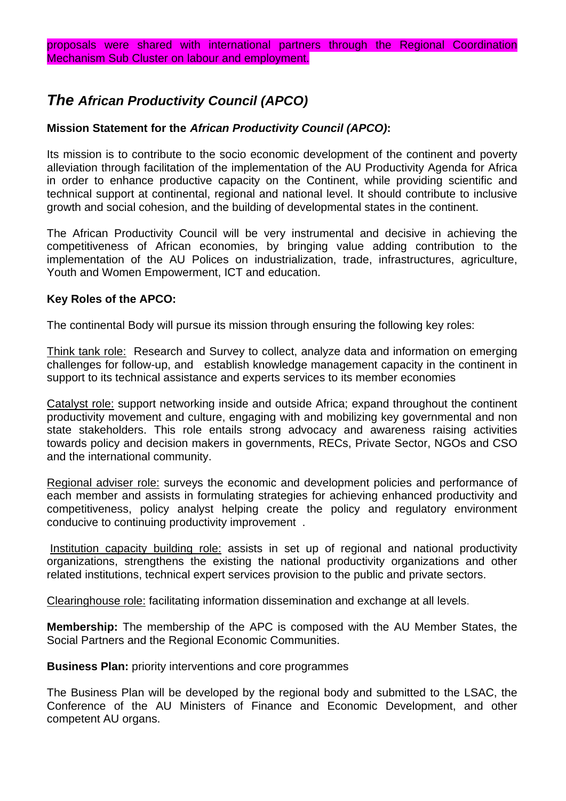# *The African Productivity Council (APCO)*

### **Mission Statement for the** *African Productivity Council (APCO)***:**

Its mission is to contribute to the socio economic development of the continent and poverty alleviation through facilitation of the implementation of the AU Productivity Agenda for Africa in order to enhance productive capacity on the Continent, while providing scientific and technical support at continental, regional and national level. It should contribute to inclusive growth and social cohesion, and the building of developmental states in the continent.

The African Productivity Council will be very instrumental and decisive in achieving the competitiveness of African economies, by bringing value adding contribution to the implementation of the AU Polices on industrialization, trade, infrastructures, agriculture, Youth and Women Empowerment, ICT and education.

#### **Key Roles of the APCO:**

The continental Body will pursue its mission through ensuring the following key roles:

Think tank role: Research and Survey to collect, analyze data and information on emerging challenges for follow-up, and establish knowledge management capacity in the continent in support to its technical assistance and experts services to its member economies

Catalyst role: support networking inside and outside Africa; expand throughout the continent productivity movement and culture, engaging with and mobilizing key governmental and non state stakeholders. This role entails strong advocacy and awareness raising activities towards policy and decision makers in governments, RECs, Private Sector, NGOs and CSO and the international community.

Regional adviser role: surveys the economic and development policies and performance of each member and assists in formulating strategies for achieving enhanced productivity and competitiveness, policy analyst helping create the policy and regulatory environment conducive to continuing productivity improvement .

 Institution capacity building role: assists in set up of regional and national productivity organizations, strengthens the existing the national productivity organizations and other related institutions, technical expert services provision to the public and private sectors.

Clearinghouse role: facilitating information dissemination and exchange at all levels.

**Membership:** The membership of the APC is composed with the AU Member States, the Social Partners and the Regional Economic Communities.

**Business Plan:** priority interventions and core programmes

The Business Plan will be developed by the regional body and submitted to the LSAC, the Conference of the AU Ministers of Finance and Economic Development, and other competent AU organs.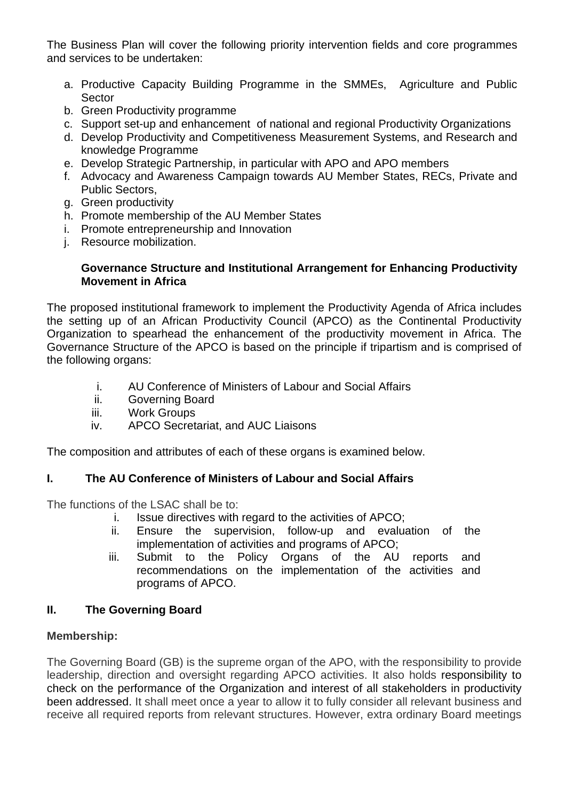The Business Plan will cover the following priority intervention fields and core programmes and services to be undertaken:

- a. Productive Capacity Building Programme in the SMMEs, Agriculture and Public Sector
- b. Green Productivity programme
- c. Support set-up and enhancement of national and regional Productivity Organizations
- d. Develop Productivity and Competitiveness Measurement Systems, and Research and knowledge Programme
- e. Develop Strategic Partnership, in particular with APO and APO members
- f. Advocacy and Awareness Campaign towards AU Member States, RECs, Private and Public Sectors,
- g. Green productivity
- h. Promote membership of the AU Member States
- i. Promote entrepreneurship and Innovation
- j. Resource mobilization.

#### **Governance Structure and Institutional Arrangement for Enhancing Productivity Movement in Africa**

The proposed institutional framework to implement the Productivity Agenda of Africa includes the setting up of an African Productivity Council (APCO) as the Continental Productivity Organization to spearhead the enhancement of the productivity movement in Africa. The Governance Structure of the APCO is based on the principle if tripartism and is comprised of the following organs:

- i. AU Conference of Ministers of Labour and Social Affairs
- ii. Governing Board
- iii. Work Groups
- iv. APCO Secretariat, and AUC Liaisons

The composition and attributes of each of these organs is examined below.

#### **I. The AU Conference of Ministers of Labour and Social Affairs**

The functions of the LSAC shall be to:

- i. Issue directives with regard to the activities of APCO;
- ii. Ensure the supervision, follow-up and evaluation of the implementation of activities and programs of APCO;
- iii. Submit to the Policy Organs of the AU reports and recommendations on the implementation of the activities and programs of APCO.

#### **II. The Governing Board**

#### **Membership:**

The Governing Board (GB) is the supreme organ of the APO, with the responsibility to provide leadership, direction and oversight regarding APCO activities. It also holds responsibility to check on the performance of the Organization and interest of all stakeholders in productivity been addressed. It shall meet once a year to allow it to fully consider all relevant business and receive all required reports from relevant structures. However, extra ordinary Board meetings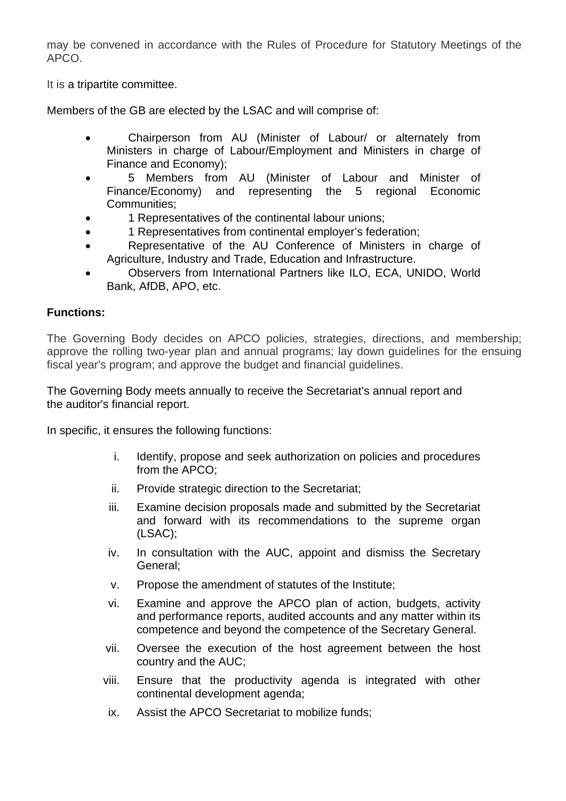may be convened in accordance with the Rules of Procedure for Statutory Meetings of the APCO.

It is a tripartite committee.

Members of the GB are elected by the LSAC and will comprise of:

- Chairperson from AU (Minister of Labour/ or alternately from Ministers in charge of Labour/Employment and Ministers in charge of Finance and Economy);
- 5 Members from AU (Minister of Labour and Minister of Finance/Economy) and representing the 5 regional Economic Communities;
- 1 Representatives of the continental labour unions;
- 1 Representatives from continental employer's federation;
- Representative of the AU Conference of Ministers in charge of Agriculture, Industry and Trade, Education and Infrastructure.
- Observers from International Partners like ILO, ECA, UNIDO, World Bank, AfDB, APO, etc.

#### **Functions:**

The Governing Body decides on APCO policies, strategies, directions, and membership; approve the rolling two-year plan and annual programs; lay down guidelines for the ensuing fiscal year's program; and approve the budget and financial guidelines.

The Governing Body meets annually to receive the Secretariat's annual report and the auditor's financial report.

In specific, it ensures the following functions:

- i. Identify, propose and seek authorization on policies and procedures from the APCO;
- ii. Provide strategic direction to the Secretariat;
- iii. Examine decision proposals made and submitted by the Secretariat and forward with its recommendations to the supreme organ (LSAC);
- iv. In consultation with the AUC, appoint and dismiss the Secretary General;
- v. Propose the amendment of statutes of the Institute;
- vi. Examine and approve the APCO plan of action, budgets, activity and performance reports, audited accounts and any matter within its competence and beyond the competence of the Secretary General.
- vii. Oversee the execution of the host agreement between the host country and the AUC;
- viii. Ensure that the productivity agenda is integrated with other continental development agenda;
- ix. Assist the APCO Secretariat to mobilize funds;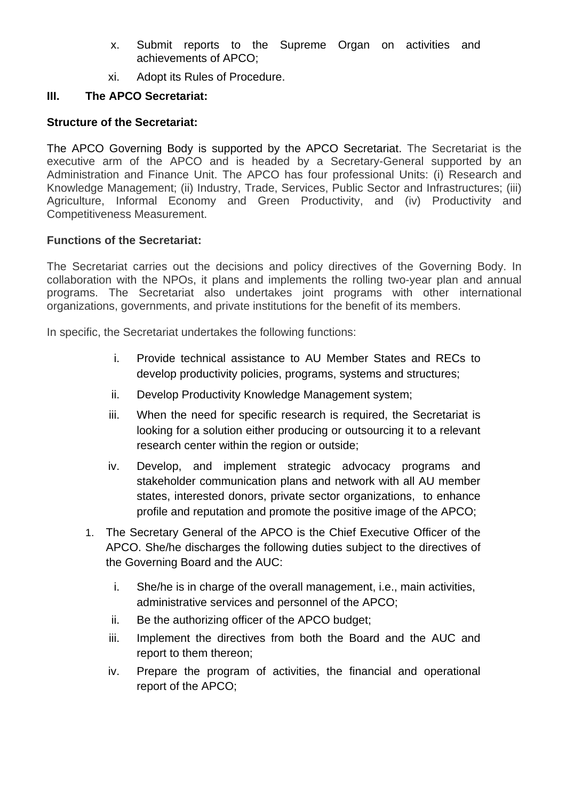- x. Submit reports to the Supreme Organ on activities and achievements of APCO;
- xi. Adopt its Rules of Procedure.

### **III. The APCO Secretariat:**

### **Structure of the Secretariat:**

The APCO Governing Body is supported by the APCO Secretariat. The Secretariat is the executive arm of the APCO and is headed by a Secretary-General supported by an Administration and Finance Unit. The APCO has four professional Units: (i) Research and Knowledge Management; (ii) Industry, Trade, Services, Public Sector and Infrastructures; (iii) Agriculture, Informal Economy and Green Productivity, and (iv) Productivity and Competitiveness Measurement.

### **Functions of the Secretariat:**

The Secretariat carries out the decisions and policy directives of the Governing Body. In collaboration with the NPOs, it plans and implements the rolling two-year plan and annual programs. The Secretariat also undertakes joint programs with other international organizations, governments, and private institutions for the benefit of its members.

In specific, the Secretariat undertakes the following functions:

- i. Provide technical assistance to AU Member States and RECs to develop productivity policies, programs, systems and structures;
- ii. Develop Productivity Knowledge Management system;
- iii. When the need for specific research is required, the Secretariat is looking for a solution either producing or outsourcing it to a relevant research center within the region or outside;
- iv. Develop, and implement strategic advocacy programs and stakeholder communication plans and network with all AU member states, interested donors, private sector organizations, to enhance profile and reputation and promote the positive image of the APCO;
- 1. The Secretary General of the APCO is the Chief Executive Officer of the APCO. She/he discharges the following duties subject to the directives of the Governing Board and the AUC:
	- i. She/he is in charge of the overall management, i.e., main activities, administrative services and personnel of the APCO;
	- ii. Be the authorizing officer of the APCO budget;
	- iii. Implement the directives from both the Board and the AUC and report to them thereon;
	- iv. Prepare the program of activities, the financial and operational report of the APCO;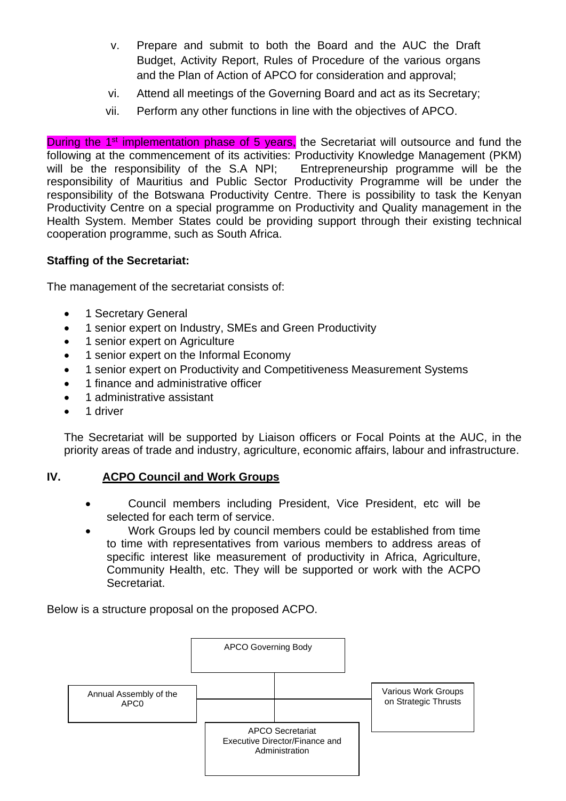- v. Prepare and submit to both the Board and the AUC the Draft Budget, Activity Report, Rules of Procedure of the various organs and the Plan of Action of APCO for consideration and approval;
- vi. Attend all meetings of the Governing Board and act as its Secretary;
- vii. Perform any other functions in line with the objectives of APCO.

During the 1<sup>st</sup> implementation phase of 5 years, the Secretariat will outsource and fund the following at the commencement of its activities: Productivity Knowledge Management (PKM) will be the responsibility of the S.A NPI; Entrepreneurship programme will be the responsibility of Mauritius and Public Sector Productivity Programme will be under the responsibility of the Botswana Productivity Centre. There is possibility to task the Kenyan Productivity Centre on a special programme on Productivity and Quality management in the Health System. Member States could be providing support through their existing technical cooperation programme, such as South Africa.

### **Staffing of the Secretariat:**

The management of the secretariat consists of:

- 1 Secretary General
- 1 senior expert on Industry, SMEs and Green Productivity
- 1 senior expert on Agriculture
- 1 senior expert on the Informal Economy
- 1 senior expert on Productivity and Competitiveness Measurement Systems
- 1 finance and administrative officer
- 1 administrative assistant
- 1 driver

The Secretariat will be supported by Liaison officers or Focal Points at the AUC, in the priority areas of trade and industry, agriculture, economic affairs, labour and infrastructure.

#### **IV. ACPO Council and Work Groups**

- Council members including President, Vice President, etc will be selected for each term of service.
- Work Groups led by council members could be established from time to time with representatives from various members to address areas of specific interest like measurement of productivity in Africa, Agriculture, Community Health, etc. They will be supported or work with the ACPO Secretariat.

Below is a structure proposal on the proposed ACPO.